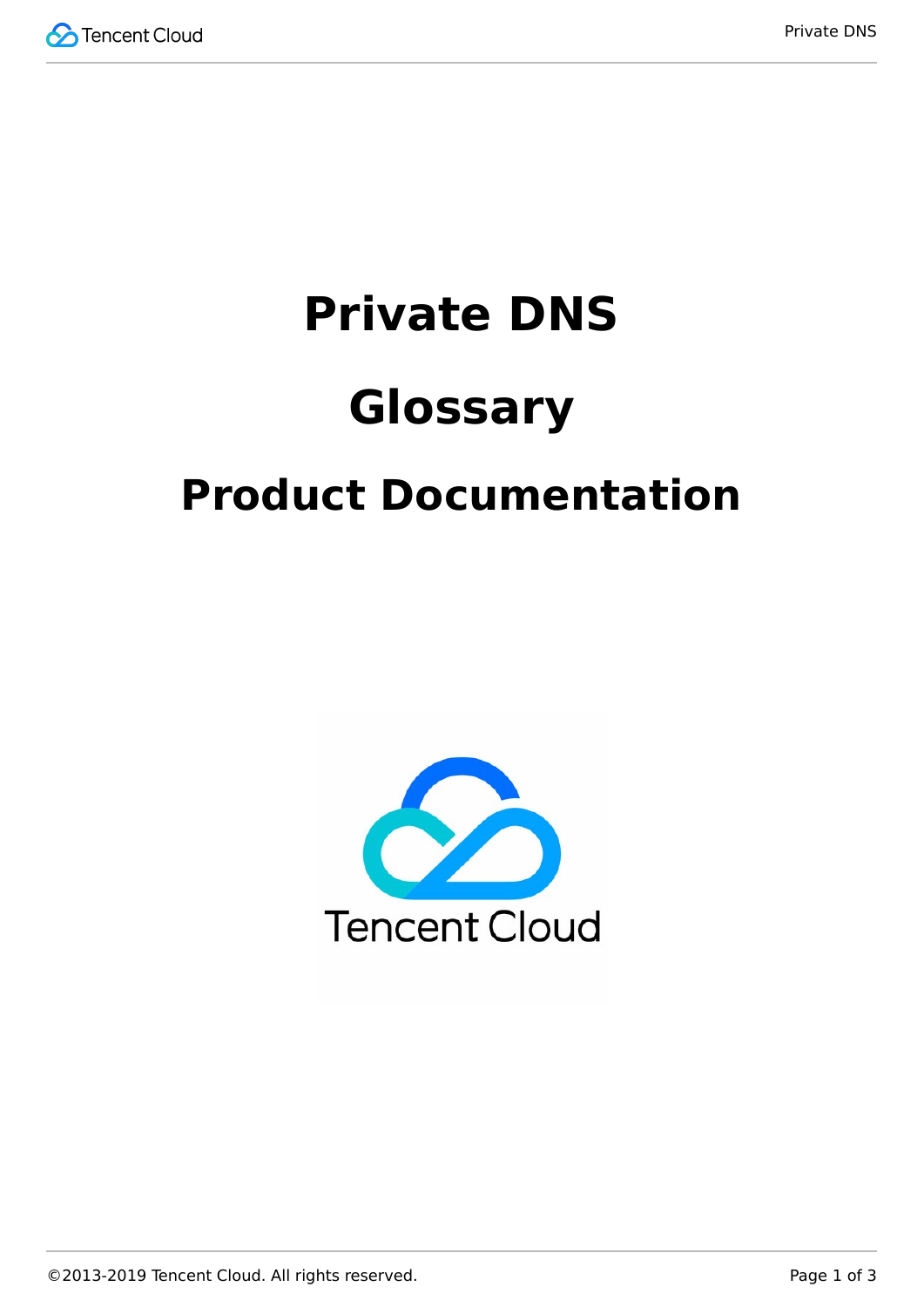

# **Private DNS Glossary Product Documentation**

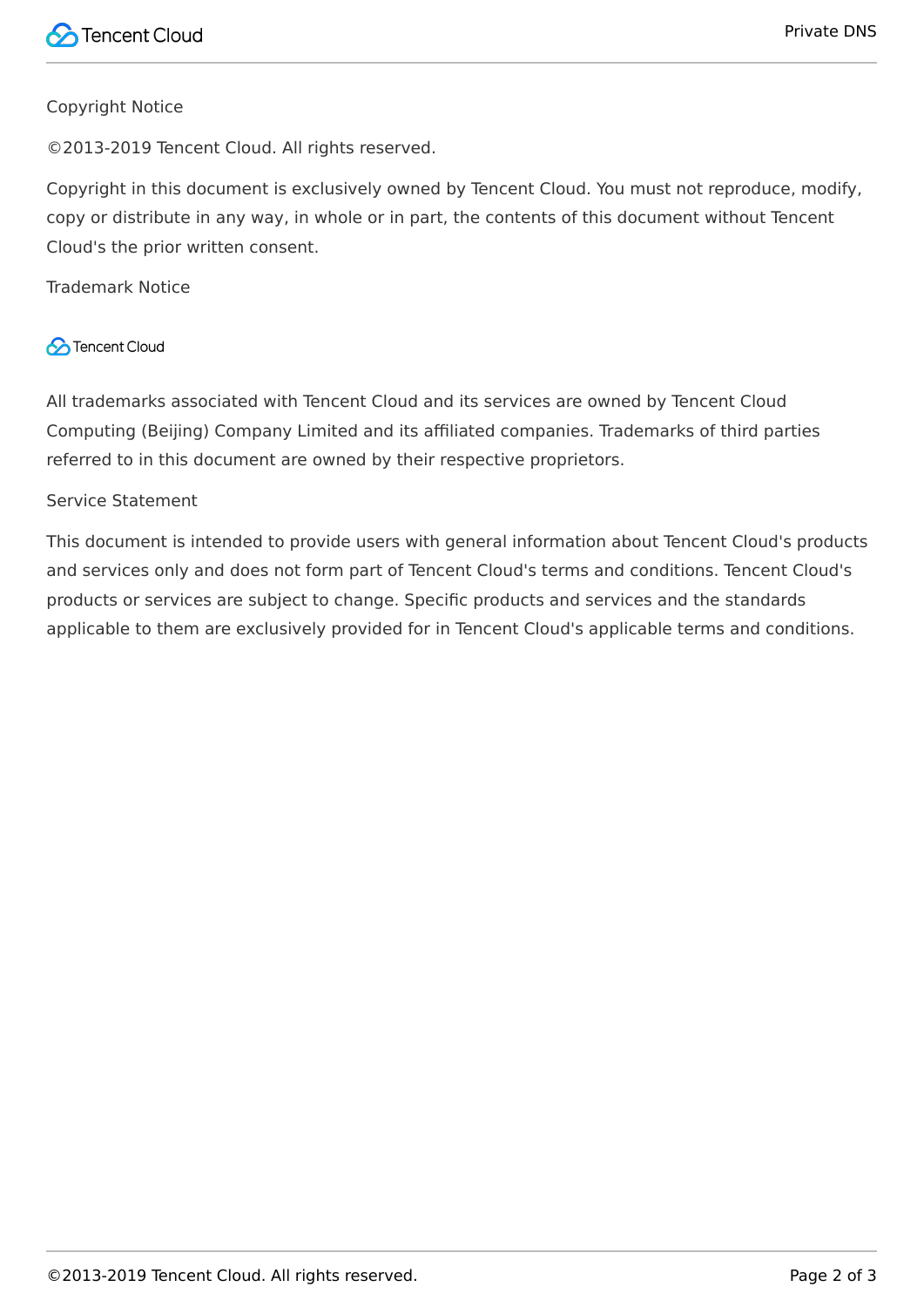#### Copyright Notice

©2013-2019 Tencent Cloud. All rights reserved.

Copyright in this document is exclusively owned by Tencent Cloud. You must not reproduce, modify, copy or distribute in any way, in whole or in part, the contents of this document without Tencent Cloud's the prior written consent.

Trademark Notice

#### **C** Tencent Cloud

All trademarks associated with Tencent Cloud and its services are owned by Tencent Cloud Computing (Beijing) Company Limited and its affiliated companies. Trademarks of third parties referred to in this document are owned by their respective proprietors.

#### Service Statement

This document is intended to provide users with general information about Tencent Cloud's products and services only and does not form part of Tencent Cloud's terms and conditions. Tencent Cloud's products or services are subject to change. Specific products and services and the standards applicable to them are exclusively provided for in Tencent Cloud's applicable terms and conditions.